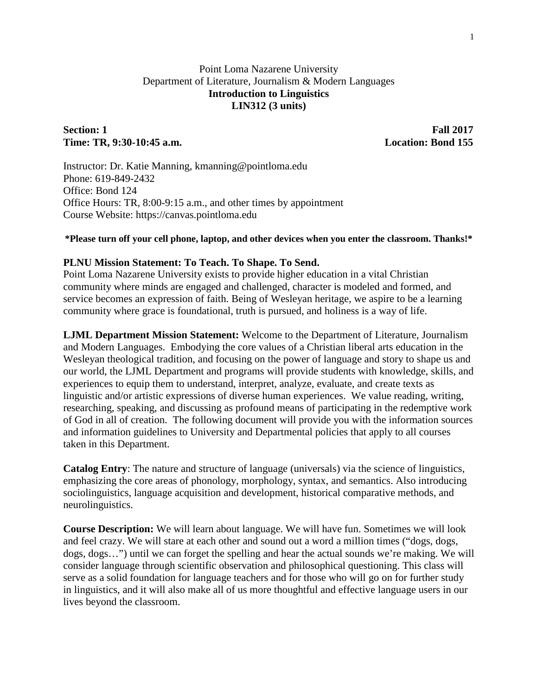## Point Loma Nazarene University Department of Literature, Journalism & Modern Languages **Introduction to Linguistics LIN312 (3 units)**

### **Section: 1 Fall 2017 Time: TR, 9:30-10:45 a.m. Location: Bond 155**

Instructor: Dr. Katie Manning, kmanning@pointloma.edu Phone: 619-849-2432 Office: Bond 124 Office Hours: TR, 8:00-9:15 a.m., and other times by appointment Course Website: https://canvas.pointloma.edu

#### **\*Please turn off your cell phone, laptop, and other devices when you enter the classroom. Thanks!\***

#### **PLNU Mission Statement: To Teach. To Shape. To Send.**

Point Loma Nazarene University exists to provide higher education in a vital Christian community where minds are engaged and challenged, character is modeled and formed, and service becomes an expression of faith. Being of Wesleyan heritage, we aspire to be a learning community where grace is foundational, truth is pursued, and holiness is a way of life.

**LJML Department Mission Statement:** Welcome to the Department of Literature, Journalism and Modern Languages. Embodying the core values of a Christian liberal arts education in the Wesleyan theological tradition, and focusing on the power of language and story to shape us and our world, the LJML Department and programs will provide students with knowledge, skills, and experiences to equip them to understand, interpret, analyze, evaluate, and create texts as linguistic and/or artistic expressions of diverse human experiences. We value reading, writing, researching, speaking, and discussing as profound means of participating in the redemptive work of God in all of creation. The following document will provide you with the information sources and information guidelines to University and Departmental policies that apply to all courses taken in this Department.

**Catalog Entry**: The nature and structure of language (universals) via the science of linguistics, emphasizing the core areas of phonology, morphology, syntax, and semantics. Also introducing sociolinguistics, language acquisition and development, historical comparative methods, and neurolinguistics.

**Course Description:** We will learn about language. We will have fun. Sometimes we will look and feel crazy. We will stare at each other and sound out a word a million times ("dogs, dogs, dogs, dogs…") until we can forget the spelling and hear the actual sounds we're making. We will consider language through scientific observation and philosophical questioning. This class will serve as a solid foundation for language teachers and for those who will go on for further study in linguistics, and it will also make all of us more thoughtful and effective language users in our lives beyond the classroom.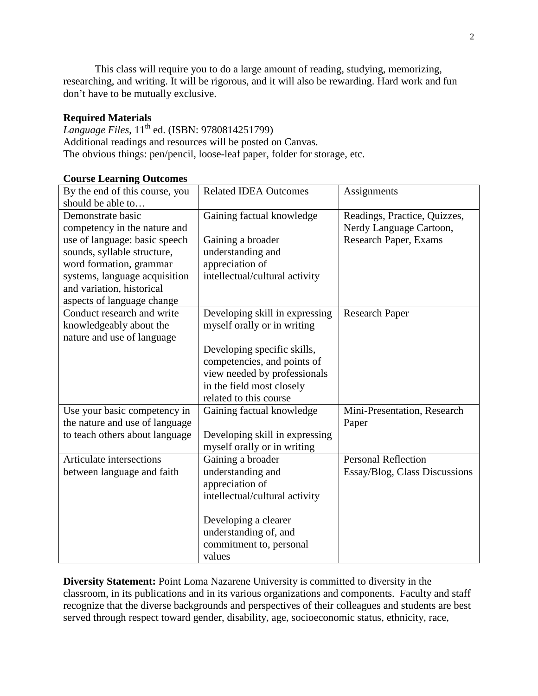This class will require you to do a large amount of reading, studying, memorizing, researching, and writing. It will be rigorous, and it will also be rewarding. Hard work and fun don't have to be mutually exclusive.

## **Required Materials**

*Language Files*,  $11^{\text{th}}$  ed. (ISBN: 9780814251799) Additional readings and resources will be posted on Canvas. The obvious things: pen/pencil, loose-leaf paper, folder for storage, etc.

| ______ <del>_</del> ___<br>By the end of this course, you | <b>Related IDEA Outcomes</b>   | Assignments                   |
|-----------------------------------------------------------|--------------------------------|-------------------------------|
| should be able to                                         |                                |                               |
| Demonstrate basic                                         | Gaining factual knowledge      | Readings, Practice, Quizzes,  |
| competency in the nature and                              |                                | Nerdy Language Cartoon,       |
| use of language: basic speech                             | Gaining a broader              | Research Paper, Exams         |
| sounds, syllable structure,                               | understanding and              |                               |
| word formation, grammar                                   | appreciation of                |                               |
| systems, language acquisition                             | intellectual/cultural activity |                               |
| and variation, historical                                 |                                |                               |
| aspects of language change                                |                                |                               |
| Conduct research and write                                | Developing skill in expressing | <b>Research Paper</b>         |
| knowledgeably about the                                   | myself orally or in writing    |                               |
| nature and use of language                                |                                |                               |
|                                                           | Developing specific skills,    |                               |
|                                                           | competencies, and points of    |                               |
|                                                           | view needed by professionals   |                               |
|                                                           | in the field most closely      |                               |
|                                                           | related to this course         |                               |
| Use your basic competency in                              | Gaining factual knowledge      | Mini-Presentation, Research   |
| the nature and use of language                            |                                | Paper                         |
| to teach others about language                            | Developing skill in expressing |                               |
|                                                           | myself orally or in writing    |                               |
| Articulate intersections                                  | Gaining a broader              | <b>Personal Reflection</b>    |
| between language and faith                                | understanding and              | Essay/Blog, Class Discussions |
|                                                           | appreciation of                |                               |
|                                                           | intellectual/cultural activity |                               |
|                                                           |                                |                               |
|                                                           | Developing a clearer           |                               |
|                                                           | understanding of, and          |                               |
|                                                           | commitment to, personal        |                               |
|                                                           | values                         |                               |

#### **Course Learning Outcomes**

**Diversity Statement:** Point Loma Nazarene University is committed to diversity in the classroom, in its publications and in its various organizations and components. Faculty and staff recognize that the diverse backgrounds and perspectives of their colleagues and students are best served through respect toward gender, disability, age, socioeconomic status, ethnicity, race,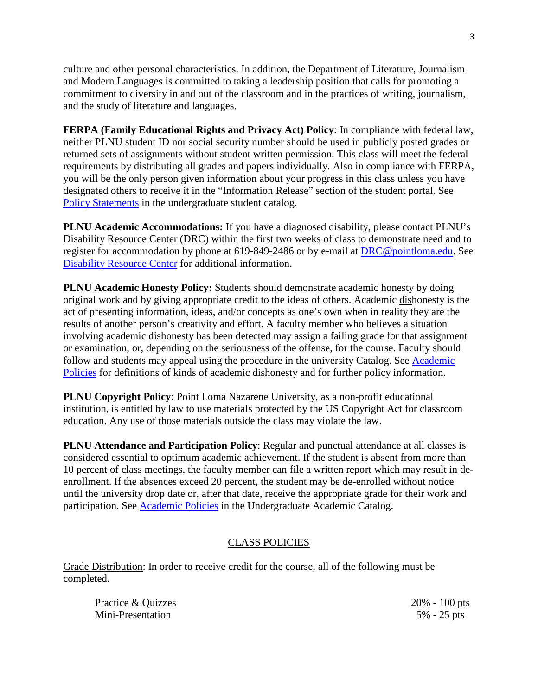culture and other personal characteristics. In addition, the Department of Literature, Journalism and Modern Languages is committed to taking a leadership position that calls for promoting a commitment to diversity in and out of the classroom and in the practices of writing, journalism, and the study of literature and languages.

**FERPA (Family Educational Rights and Privacy Act) Policy**: In compliance with federal law, neither PLNU student ID nor social security number should be used in publicly posted grades or returned sets of assignments without student written permission. This class will meet the federal requirements by distributing all grades and papers individually. Also in compliance with FERPA, you will be the only person given information about your progress in this class unless you have designated others to receive it in the "Information Release" section of the student portal. See [Policy Statements](http://catalog.pointloma.edu/content.php?catoid=8&navoid=864) in the undergraduate student catalog.

**PLNU Academic Accommodations:** If you have a diagnosed disability, please contact PLNU's Disability Resource Center (DRC) within the first two weeks of class to demonstrate need and to register for accommodation by phone at 619-849-2486 or by e-mail at [DRC@pointloma.edu.](mailto:DRC@pointloma.edu) See [Disability Resource Center](http://www.pointloma.edu/experience/offices/administrative-offices/academic-advising-office/disability-resource-center) for additional information.

**PLNU Academic Honesty Policy:** Students should demonstrate academic honesty by doing original work and by giving appropriate credit to the ideas of others. Academic dishonesty is the act of presenting information, ideas, and/or concepts as one's own when in reality they are the results of another person's creativity and effort. A faculty member who believes a situation involving academic dishonesty has been detected may assign a failing grade for that assignment or examination, or, depending on the seriousness of the offense, for the course. Faculty should follow and students may appeal using the procedure in the university Catalog. See [Academic](http://catalog.pointloma.edu/content.php?catoid=18&navoid=1278)  [Policies](http://catalog.pointloma.edu/content.php?catoid=18&navoid=1278) for definitions of kinds of academic dishonesty and for further policy information.

**PLNU Copyright Policy**: Point Loma Nazarene University, as a non-profit educational institution, is entitled by law to use materials protected by the US Copyright Act for classroom education. Any use of those materials outside the class may violate the law.

**PLNU Attendance and Participation Policy**: Regular and punctual attendance at all classes is considered essential to optimum academic achievement. If the student is absent from more than 10 percent of class meetings, the faculty member can file a written report which may result in deenrollment. If the absences exceed 20 percent, the student may be de-enrolled without notice until the university drop date or, after that date, receive the appropriate grade for their work and participation. See [Academic Policies](http://catalog.pointloma.edu/content.php?catoid=18&navoid=1278) in the Undergraduate Academic Catalog.

## CLASS POLICIES

Grade Distribution: In order to receive credit for the course, all of the following must be completed.

Practice & Quizzes 20% - 100 pts Mini-Presentation 5% - 25 pts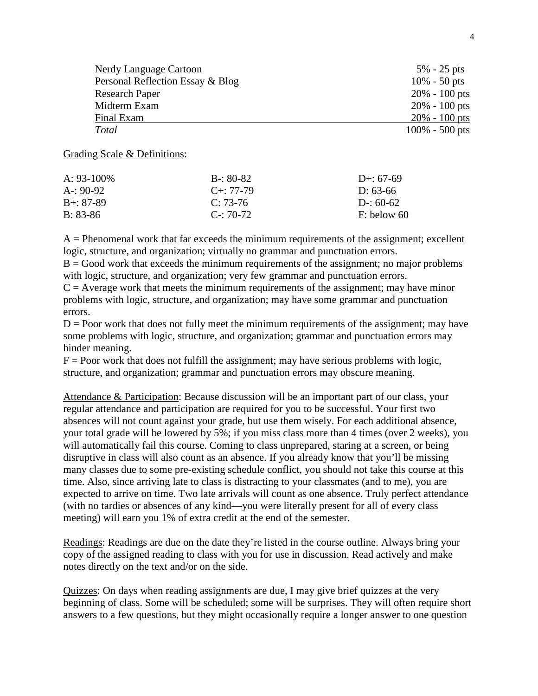| Nerdy Language Cartoon           | $5\% - 25$ pts    |
|----------------------------------|-------------------|
| Personal Reflection Essay & Blog | $10\% - 50$ pts   |
| <b>Research Paper</b>            | $20\% - 100$ pts  |
| Midterm Exam                     | $20\% - 100$ pts  |
| Final Exam                       | $20\% - 100$ pts  |
| Total                            | $100\% - 500$ pts |

#### Grading Scale & Definitions:

| A: $93-100\%$ | $B - 80 - 82$     | D+: $67-69$   |
|---------------|-------------------|---------------|
| $A - 90-92$   | $C_{\pm}$ : 77-79 | D: 63-66      |
| $B + : 87-89$ | $C: 73-76$        | D-: $60-62$   |
| $B: 83-86$    | $C = 70-72$       | $F:$ below 60 |

 $A =$  Phenomenal work that far exceeds the minimum requirements of the assignment; excellent logic, structure, and organization; virtually no grammar and punctuation errors.

 $B = Good$  work that exceeds the minimum requirements of the assignment; no major problems with logic, structure, and organization; very few grammar and punctuation errors.

 $C =$  Average work that meets the minimum requirements of the assignment; may have minor problems with logic, structure, and organization; may have some grammar and punctuation errors.

 $D =$  Poor work that does not fully meet the minimum requirements of the assignment; may have some problems with logic, structure, and organization; grammar and punctuation errors may hinder meaning.

 $F =$  Poor work that does not fulfill the assignment; may have serious problems with logic, structure, and organization; grammar and punctuation errors may obscure meaning.

Attendance & Participation: Because discussion will be an important part of our class, your regular attendance and participation are required for you to be successful. Your first two absences will not count against your grade, but use them wisely. For each additional absence, your total grade will be lowered by 5%; if you miss class more than 4 times (over 2 weeks), you will automatically fail this course. Coming to class unprepared, staring at a screen, or being disruptive in class will also count as an absence. If you already know that you'll be missing many classes due to some pre-existing schedule conflict, you should not take this course at this time. Also, since arriving late to class is distracting to your classmates (and to me), you are expected to arrive on time. Two late arrivals will count as one absence. Truly perfect attendance (with no tardies or absences of any kind—you were literally present for all of every class meeting) will earn you 1% of extra credit at the end of the semester.

Readings: Readings are due on the date they're listed in the course outline. Always bring your copy of the assigned reading to class with you for use in discussion. Read actively and make notes directly on the text and/or on the side.

Quizzes: On days when reading assignments are due, I may give brief quizzes at the very beginning of class. Some will be scheduled; some will be surprises. They will often require short answers to a few questions, but they might occasionally require a longer answer to one question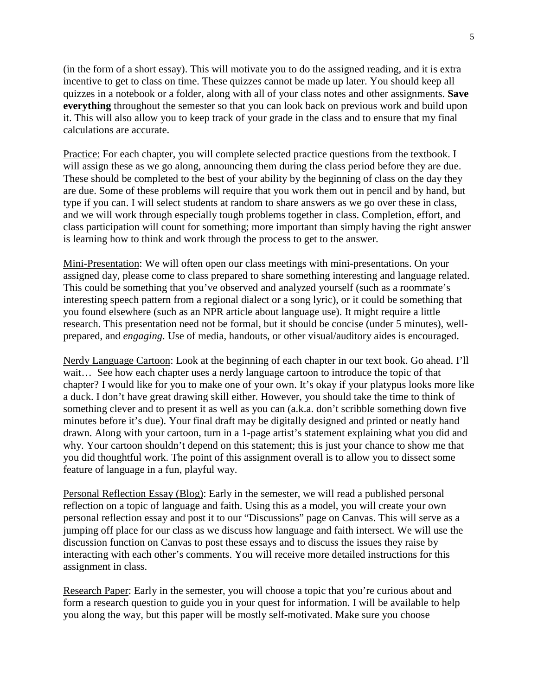(in the form of a short essay). This will motivate you to do the assigned reading, and it is extra incentive to get to class on time. These quizzes cannot be made up later. You should keep all quizzes in a notebook or a folder, along with all of your class notes and other assignments. **Save everything** throughout the semester so that you can look back on previous work and build upon it. This will also allow you to keep track of your grade in the class and to ensure that my final calculations are accurate.

Practice: For each chapter, you will complete selected practice questions from the textbook. I will assign these as we go along, announcing them during the class period before they are due. These should be completed to the best of your ability by the beginning of class on the day they are due. Some of these problems will require that you work them out in pencil and by hand, but type if you can. I will select students at random to share answers as we go over these in class, and we will work through especially tough problems together in class. Completion, effort, and class participation will count for something; more important than simply having the right answer is learning how to think and work through the process to get to the answer.

Mini-Presentation: We will often open our class meetings with mini-presentations. On your assigned day, please come to class prepared to share something interesting and language related. This could be something that you've observed and analyzed yourself (such as a roommate's interesting speech pattern from a regional dialect or a song lyric), or it could be something that you found elsewhere (such as an NPR article about language use). It might require a little research. This presentation need not be formal, but it should be concise (under 5 minutes), wellprepared, and *engaging*. Use of media, handouts, or other visual/auditory aides is encouraged.

Nerdy Language Cartoon: Look at the beginning of each chapter in our text book. Go ahead. I'll wait... See how each chapter uses a nerdy language cartoon to introduce the topic of that chapter? I would like for you to make one of your own. It's okay if your platypus looks more like a duck. I don't have great drawing skill either. However, you should take the time to think of something clever and to present it as well as you can (a.k.a. don't scribble something down five minutes before it's due). Your final draft may be digitally designed and printed or neatly hand drawn. Along with your cartoon, turn in a 1-page artist's statement explaining what you did and why. Your cartoon shouldn't depend on this statement; this is just your chance to show me that you did thoughtful work. The point of this assignment overall is to allow you to dissect some feature of language in a fun, playful way.

Personal Reflection Essay (Blog): Early in the semester, we will read a published personal reflection on a topic of language and faith. Using this as a model, you will create your own personal reflection essay and post it to our "Discussions" page on Canvas. This will serve as a jumping off place for our class as we discuss how language and faith intersect. We will use the discussion function on Canvas to post these essays and to discuss the issues they raise by interacting with each other's comments. You will receive more detailed instructions for this assignment in class.

Research Paper: Early in the semester, you will choose a topic that you're curious about and form a research question to guide you in your quest for information. I will be available to help you along the way, but this paper will be mostly self-motivated. Make sure you choose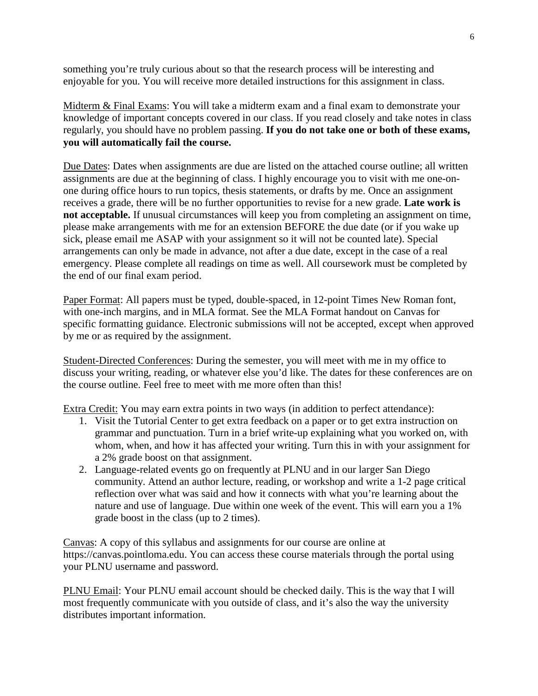something you're truly curious about so that the research process will be interesting and enjoyable for you. You will receive more detailed instructions for this assignment in class.

Midterm & Final Exams: You will take a midterm exam and a final exam to demonstrate your knowledge of important concepts covered in our class. If you read closely and take notes in class regularly, you should have no problem passing. **If you do not take one or both of these exams, you will automatically fail the course.**

Due Dates: Dates when assignments are due are listed on the attached course outline; all written assignments are due at the beginning of class. I highly encourage you to visit with me one-onone during office hours to run topics, thesis statements, or drafts by me. Once an assignment receives a grade, there will be no further opportunities to revise for a new grade. **Late work is not acceptable.** If unusual circumstances will keep you from completing an assignment on time, please make arrangements with me for an extension BEFORE the due date (or if you wake up sick, please email me ASAP with your assignment so it will not be counted late). Special arrangements can only be made in advance, not after a due date, except in the case of a real emergency. Please complete all readings on time as well. All coursework must be completed by the end of our final exam period.

Paper Format: All papers must be typed, double-spaced, in 12-point Times New Roman font, with one-inch margins, and in MLA format. See the MLA Format handout on Canvas for specific formatting guidance. Electronic submissions will not be accepted, except when approved by me or as required by the assignment.

Student-Directed Conferences: During the semester, you will meet with me in my office to discuss your writing, reading, or whatever else you'd like. The dates for these conferences are on the course outline. Feel free to meet with me more often than this!

Extra Credit: You may earn extra points in two ways (in addition to perfect attendance):

- 1. Visit the Tutorial Center to get extra feedback on a paper or to get extra instruction on grammar and punctuation. Turn in a brief write-up explaining what you worked on, with whom, when, and how it has affected your writing. Turn this in with your assignment for a 2% grade boost on that assignment.
- 2. Language-related events go on frequently at PLNU and in our larger San Diego community. Attend an author lecture, reading, or workshop and write a 1-2 page critical reflection over what was said and how it connects with what you're learning about the nature and use of language. Due within one week of the event. This will earn you a 1% grade boost in the class (up to 2 times).

Canvas: A copy of this syllabus and assignments for our course are online at https://canvas.pointloma.edu. You can access these course materials through the portal using your PLNU username and password.

PLNU Email: Your PLNU email account should be checked daily. This is the way that I will most frequently communicate with you outside of class, and it's also the way the university distributes important information.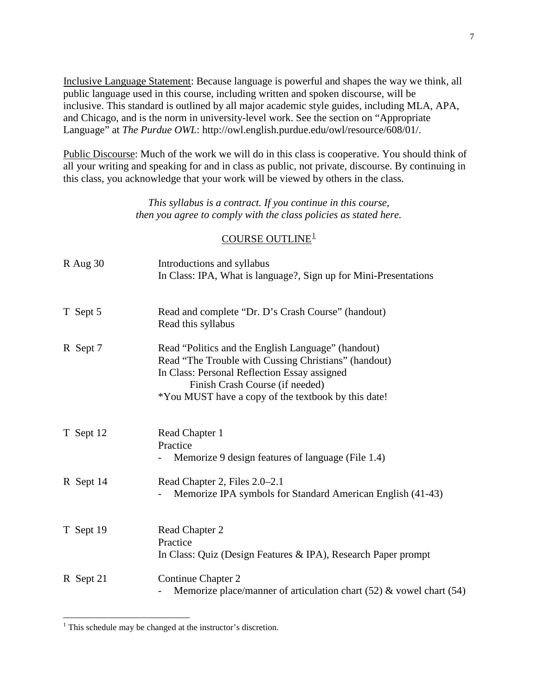Inclusive Language Statement: Because language is powerful and shapes the way we think, all public language used in this course, including written and spoken discourse, will be inclusive. This standard is outlined by all major academic style guides, including MLA, APA, and Chicago, and is the norm in university-level work. See the section on "Appropriate Language" at *The Purdue OWL*: http://owl.english.purdue.edu/owl/resource/608/01/.

Public Discourse: Much of the work we will do in this class is cooperative. You should think of all your writing and speaking for and in class as public, not private, discourse. By continuing in this class, you acknowledge that your work will be viewed by others in the class.

> *This syllabus is a contract. If you continue in this course, then you agree to comply with the class policies as stated here.*

# COURSE OUTLINE<sup>[1](#page-6-0)</sup>

| $R$ Aug 30 | Introductions and syllabus                                                                                                                                                                                                                           |
|------------|------------------------------------------------------------------------------------------------------------------------------------------------------------------------------------------------------------------------------------------------------|
|            | In Class: IPA, What is language?, Sign up for Mini-Presentations                                                                                                                                                                                     |
| T Sept 5   | Read and complete "Dr. D's Crash Course" (handout)<br>Read this syllabus                                                                                                                                                                             |
| R Sept 7   | Read "Politics and the English Language" (handout)<br>Read "The Trouble with Cussing Christians" (handout)<br>In Class: Personal Reflection Essay assigned<br>Finish Crash Course (if needed)<br>*You MUST have a copy of the textbook by this date! |
| T Sept 12  | Read Chapter 1<br>Practice<br>Memorize 9 design features of language (File 1.4)                                                                                                                                                                      |
| R Sept 14  | Read Chapter 2, Files 2.0–2.1<br>Memorize IPA symbols for Standard American English (41-43)                                                                                                                                                          |
| T Sept 19  | Read Chapter 2<br>Practice<br>In Class: Quiz (Design Features & IPA), Research Paper prompt                                                                                                                                                          |
| R Sept 21  | Continue Chapter 2<br>Memorize place/manner of articulation chart $(52)$ & vowel chart $(54)$                                                                                                                                                        |

<span id="page-6-0"></span><sup>&</sup>lt;sup>1</sup> This schedule may be changed at the instructor's discretion.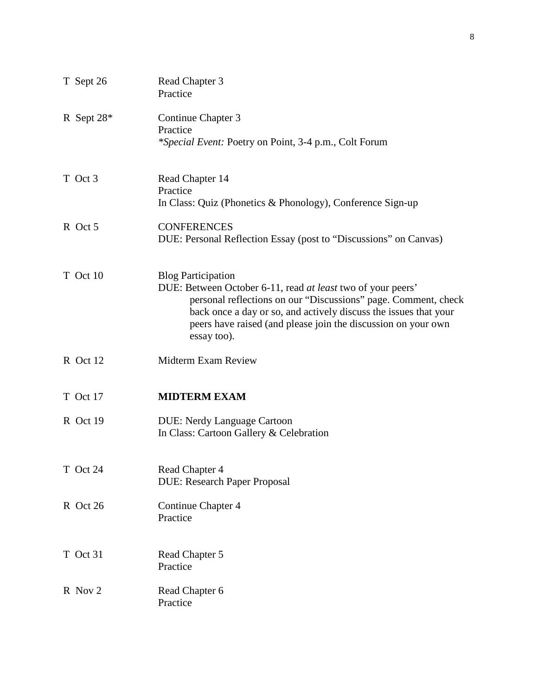| T Sept 26  | Read Chapter 3<br>Practice                                                                                                                                                                                                                                                                                     |
|------------|----------------------------------------------------------------------------------------------------------------------------------------------------------------------------------------------------------------------------------------------------------------------------------------------------------------|
| R Sept 28* | Continue Chapter 3<br>Practice<br><i>*Special Event: Poetry on Point, 3-4 p.m., Colt Forum</i>                                                                                                                                                                                                                 |
| T Oct 3    | Read Chapter 14<br>Practice<br>In Class: Quiz (Phonetics & Phonology), Conference Sign-up                                                                                                                                                                                                                      |
| R Oct 5    | <b>CONFERENCES</b><br>DUE: Personal Reflection Essay (post to "Discussions" on Canvas)                                                                                                                                                                                                                         |
| T Oct 10   | <b>Blog Participation</b><br>DUE: Between October 6-11, read at least two of your peers'<br>personal reflections on our "Discussions" page. Comment, check<br>back once a day or so, and actively discuss the issues that your<br>peers have raised (and please join the discussion on your own<br>essay too). |
| R Oct 12   | <b>Midterm Exam Review</b>                                                                                                                                                                                                                                                                                     |
| T Oct 17   | <b>MIDTERM EXAM</b>                                                                                                                                                                                                                                                                                            |
| R Oct 19   | <b>DUE: Nerdy Language Cartoon</b><br>In Class: Cartoon Gallery & Celebration                                                                                                                                                                                                                                  |
| T Oct 24   | Read Chapter 4<br><b>DUE: Research Paper Proposal</b>                                                                                                                                                                                                                                                          |
| R Oct 26   | Continue Chapter 4<br>Practice                                                                                                                                                                                                                                                                                 |
| T Oct 31   | Read Chapter 5<br>Practice                                                                                                                                                                                                                                                                                     |
| R Nov 2    | Read Chapter 6<br>Practice                                                                                                                                                                                                                                                                                     |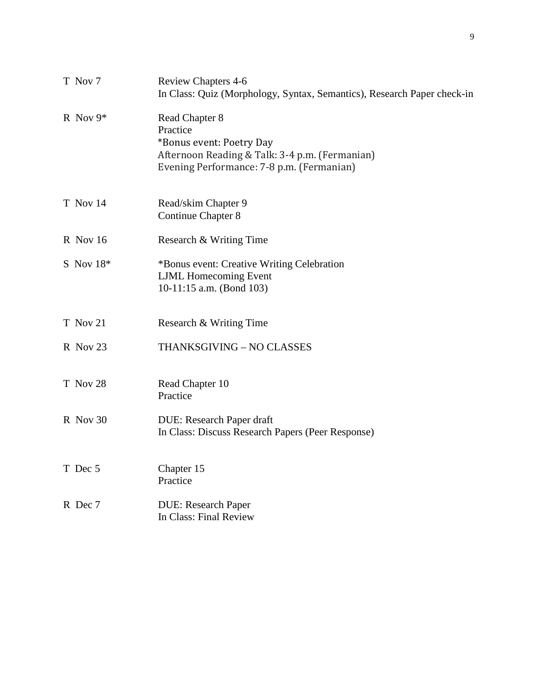| T Nov 7     | <b>Review Chapters 4-6</b><br>In Class: Quiz (Morphology, Syntax, Semantics), Research Paper check-in                                                 |
|-------------|-------------------------------------------------------------------------------------------------------------------------------------------------------|
| R Nov $9*$  | Read Chapter 8<br>Practice<br>*Bonus event: Poetry Day<br>Afternoon Reading & Talk: 3-4 p.m. (Fermanian)<br>Evening Performance: 7-8 p.m. (Fermanian) |
| T Nov 14    | Read/skim Chapter 9<br><b>Continue Chapter 8</b>                                                                                                      |
| R Nov 16    | Research & Writing Time                                                                                                                               |
| S Nov $18*$ | *Bonus event: Creative Writing Celebration<br><b>LJML</b> Homecoming Event<br>10-11:15 a.m. (Bond 103)                                                |
| T Nov 21    | Research & Writing Time                                                                                                                               |
| R Nov 23    | THANKSGIVING - NO CLASSES                                                                                                                             |
| T Nov 28    | Read Chapter 10<br>Practice                                                                                                                           |
| R Nov 30    | DUE: Research Paper draft<br>In Class: Discuss Research Papers (Peer Response)                                                                        |
| T Dec 5     | Chapter 15<br>Practice                                                                                                                                |
| R Dec 7     | <b>DUE: Research Paper</b><br>In Class: Final Review                                                                                                  |